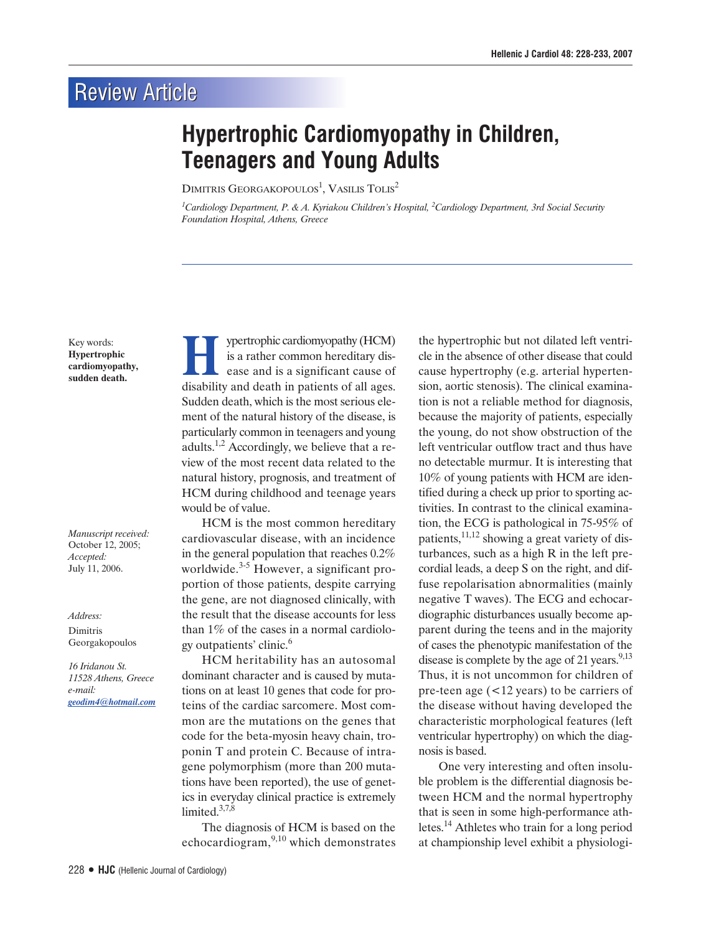## **Review Article**

## **Hypertrophic Cardiomyopathy in Children, Teenagers and Young Adults**

 ${\rm Dimi}$ tris Georgakopoulos $^1$ , Vasilis Tolis $^2$ 

<sup>1</sup>Cardiology Department, P. & A. Kyriakou Children's Hospital, <sup>2</sup>Cardiology Department, 3rd Social Security *Foundation Hospital, Athens, Greece*

Key words: **Hypertrophic cardiomyopathy, sudden death.**

*Manuscript received:* October 12, 2005; *Accepted:* July 11, 2006.

*Address:*

Dimitris Georgakopoulos

*16 Iridanou St. 11528 Athens, Greece e-mail: geodim4@hotmail.com*

**HEV** is a rather common hereditary disease and is a significant cause of disability and death in patients of all ages is a rather common hereditary disdisability and death in patients of all ages. Sudden death, which is the most serious element of the natural history of the disease, is particularly common in teenagers and young adults.<sup>1,2</sup> Accordingly, we believe that a review of the most recent data related to the natural history, prognosis, and treatment of HCM during childhood and teenage years would be of value.

HCM is the most common hereditary cardiovascular disease, with an incidence in the general population that reaches 0.2% worldwide. $3-5$  However, a significant proportion of those patients, despite carrying the gene, are not diagnosed clinically, with the result that the disease accounts for less than 1% of the cases in a normal cardiology outpatients' clinic. $6$ 

HCM heritability has an autosomal dominant character and is caused by mutations on at least 10 genes that code for proteins of the cardiac sarcomere. Most common are the mutations on the genes that code for the beta-myosin heavy chain, troponin T and protein C. Because of intragene polymorphism (more than 200 mutations have been reported), the use of genetics in everyday clinical practice is extremely limited. $3,7,8$ 

The diagnosis of HCM is based on the echocardiogram,  $9,10$  which demonstrates

the hypertrophic but not dilated left ventricle in the absence of other disease that could cause hypertrophy (e.g. arterial hypertension, aortic stenosis). The clinical examination is not a reliable method for diagnosis, because the majority of patients, especially the young, do not show obstruction of the left ventricular outflow tract and thus have no detectable murmur. It is interesting that 10% of young patients with HCM are identified during a check up prior to sporting activities. In contrast to the clinical examination, the ECG is pathological in 75-95% of patients,<sup>11,12</sup> showing a great variety of disturbances, such as a high R in the left precordial leads, a deep S on the right, and diffuse repolarisation abnormalities (mainly negative T waves). The ECG and echocardiographic disturbances usually become apparent during the teens and in the majority of cases the phenotypic manifestation of the disease is complete by the age of 21 years. $9,13$ Thus, it is not uncommon for children of pre-teen age (<12 years) to be carriers of the disease without having developed the characteristic morphological features (left ventricular hypertrophy) on which the diagnosis is based.

One very interesting and often insoluble problem is the differential diagnosis between HCM and the normal hypertrophy that is seen in some high-performance athletes.14 Athletes who train for a long period at championship level exhibit a physiologi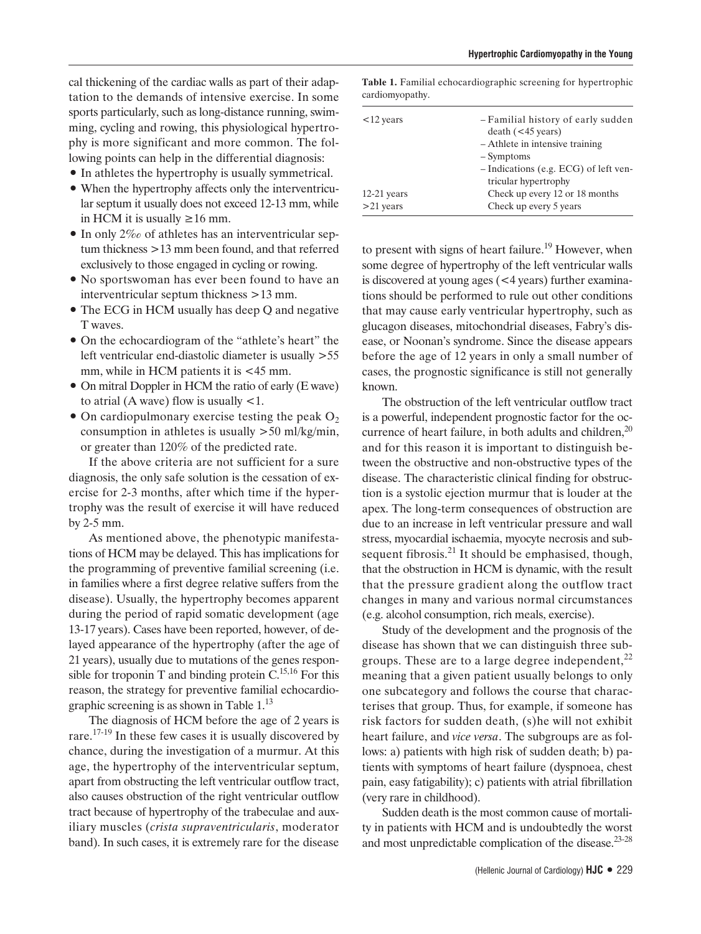cal thickening of the cardiac walls as part of their adaptation to the demands of intensive exercise. In some sports particularly, such as long-distance running, swimming, cycling and rowing, this physiological hypertrophy is more significant and more common. The following points can help in the differential diagnosis:

- $\bullet$  In athletes the hypertrophy is usually symmetrical.
- When the hypertrophy affects only the interventricular septum it usually does not exceed 12-13 mm, while in HCM it is usually ≥16 mm.
- $\bullet$  In only 2‰ of athletes has an interventricular septum thickness >13 mm been found, and that referred exclusively to those engaged in cycling or rowing.
- No sportswoman has ever been found to have an interventricular septum thickness >13 mm.
- The ECG in HCM usually has deep Q and negative T waves.
- On the echocardiogram of the "athlete's heart" the left ventricular end-diastolic diameter is usually >55 mm, while in HCM patients it is <45 mm.
- On mitral Doppler in HCM the ratio of early (E wave) to atrial  $(A$  wave) flow is usually  $\leq 1$ .
- $\bullet$  On cardiopulmonary exercise testing the peak O<sub>2</sub> consumption in athletes is usually >50 ml/kg/min, or greater than 120% of the predicted rate.

If the above criteria are not sufficient for a sure diagnosis, the only safe solution is the cessation of exercise for 2-3 months, after which time if the hypertrophy was the result of exercise it will have reduced by 2-5 mm.

As mentioned above, the phenotypic manifestations of HCM may be delayed. This has implications for the programming of preventive familial screening (i.e. in families where a first degree relative suffers from the disease). Usually, the hypertrophy becomes apparent during the period of rapid somatic development (age 13-17 years). Cases have been reported, however, of delayed appearance of the hypertrophy (after the age of 21 years), usually due to mutations of the genes responsible for troponin T and binding protein  $C^{15,16}$  For this reason, the strategy for preventive familial echocardiographic screening is as shown in Table 1.13

The diagnosis of HCM before the age of 2 years is rare.<sup>17-19</sup> In these few cases it is usually discovered by chance, during the investigation of a murmur. At this age, the hypertrophy of the interventricular septum, apart from obstructing the left ventricular outflow tract, also causes obstruction of the right ventricular outflow tract because of hypertrophy of the trabeculae and auxiliary muscles (*crista supraventricularis*, moderator band). In such cases, it is extremely rare for the disease

**Table 1.** Familial echocardiographic screening for hypertrophic cardiomyopathy.

| - Familial history of early sudden    |
|---------------------------------------|
| $death$ (<45 years)                   |
| - Athlete in intensive training       |
| - Symptoms                            |
| - Indications (e.g. ECG) of left ven- |
| tricular hypertrophy                  |
| Check up every 12 or 18 months        |
| Check up every 5 years                |
|                                       |

to present with signs of heart failure.<sup>19</sup> However, when some degree of hypertrophy of the left ventricular walls is discovered at young ages (<4 years) further examinations should be performed to rule out other conditions that may cause early ventricular hypertrophy, such as glucagon diseases, mitochondrial diseases, Fabry's disease, or Noonan's syndrome. Since the disease appears before the age of 12 years in only a small number of cases, the prognostic significance is still not generally known.

The obstruction of the left ventricular outflow tract is a powerful, independent prognostic factor for the occurrence of heart failure, in both adults and children, $^{20}$ and for this reason it is important to distinguish between the obstructive and non-obstructive types of the disease. The characteristic clinical finding for obstruction is a systolic ejection murmur that is louder at the apex. The long-term consequences of obstruction are due to an increase in left ventricular pressure and wall stress, myocardial ischaemia, myocyte necrosis and subsequent fibrosis. $^{21}$  It should be emphasised, though, that the obstruction in HCM is dynamic, with the result that the pressure gradient along the outflow tract changes in many and various normal circumstances (e.g. alcohol consumption, rich meals, exercise).

Study of the development and the prognosis of the disease has shown that we can distinguish three subgroups. These are to a large degree independent, $^{22}$ meaning that a given patient usually belongs to only one subcategory and follows the course that characterises that group. Thus, for example, if someone has risk factors for sudden death, (s)he will not exhibit heart failure, and *vice versa*. The subgroups are as follows: a) patients with high risk of sudden death; b) patients with symptoms of heart failure (dyspnoea, chest pain, easy fatigability); c) patients with atrial fibrillation (very rare in childhood).

Sudden death is the most common cause of mortality in patients with HCM and is undoubtedly the worst and most unpredictable complication of the disease. $23-28$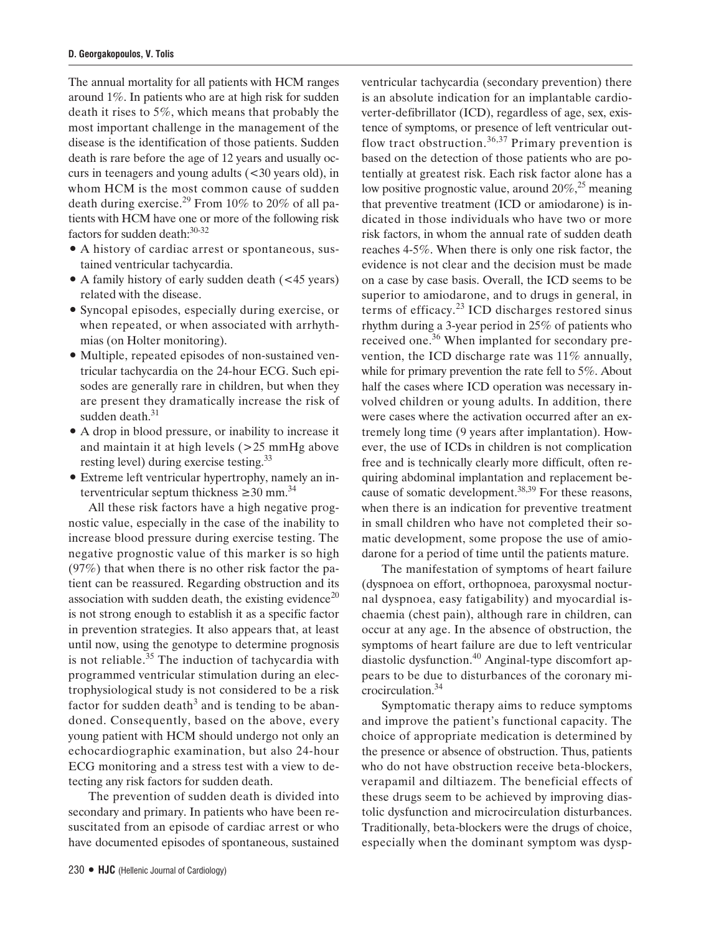The annual mortality for all patients with HCM ranges around 1%. In patients who are at high risk for sudden death it rises to 5%, which means that probably the most important challenge in the management of the disease is the identification of those patients. Sudden death is rare before the age of 12 years and usually occurs in teenagers and young adults (<30 years old), in whom HCM is the most common cause of sudden death during exercise.<sup>29</sup> From 10% to 20% of all patients with HCM have one or more of the following risk factors for sudden death: 30-32

- $\bullet$  A history of cardiac arrest or spontaneous, sustained ventricular tachycardia.
- A family history of early sudden death (<45 years) related with the disease.
- Syncopal episodes, especially during exercise, or when repeated, or when associated with arrhythmias (on Holter monitoring).
- Multiple, repeated episodes of non-sustained ventricular tachycardia on the 24-hour ECG. Such episodes are generally rare in children, but when they are present they dramatically increase the risk of sudden death.<sup>31</sup>
- A drop in blood pressure, or inability to increase it and maintain it at high levels (>25 mmHg above resting level) during exercise testing.33
- Extreme left ventricular hypertrophy, namely an interventricular septum thickness  $\geq 30$  mm.<sup>34</sup>

All these risk factors have a high negative prognostic value, especially in the case of the inability to increase blood pressure during exercise testing. The negative prognostic value of this marker is so high (97%) that when there is no other risk factor the patient can be reassured. Regarding obstruction and its association with sudden death, the existing evidence<sup>20</sup> is not strong enough to establish it as a specific factor in prevention strategies. It also appears that, at least until now, using the genotype to determine prognosis is not reliable. $35$  The induction of tachycardia with programmed ventricular stimulation during an electrophysiological study is not considered to be a risk factor for sudden death<sup>3</sup> and is tending to be abandoned. Consequently, based on the above, every young patient with HCM should undergo not only an echocardiographic examination, but also 24-hour ECG monitoring and a stress test with a view to detecting any risk factors for sudden death.

The prevention of sudden death is divided into secondary and primary. In patients who have been resuscitated from an episode of cardiac arrest or who have documented episodes of spontaneous, sustained

230 **ñ HJC** (Hellenic Journal of Cardiology)

ventricular tachycardia (secondary prevention) there is an absolute indication for an implantable cardioverter-defibrillator (ICD), regardless of age, sex, existence of symptoms, or presence of left ventricular outflow tract obstruction.<sup>36,37</sup> Primary prevention is based on the detection of those patients who are potentially at greatest risk. Each risk factor alone has a low positive prognostic value, around  $20\%$ <sup>25</sup> meaning that preventive treatment (ICD or amiodarone) is indicated in those individuals who have two or more risk factors, in whom the annual rate of sudden death reaches 4-5%. When there is only one risk factor, the evidence is not clear and the decision must be made on a case by case basis. Overall, the ICD seems to be superior to amiodarone, and to drugs in general, in terms of efficacy. $^{23}$  ICD discharges restored sinus rhythm during a 3-year period in 25% of patients who received one.<sup>36</sup> When implanted for secondary prevention, the ICD discharge rate was 11% annually, while for primary prevention the rate fell to 5%. About half the cases where ICD operation was necessary involved children or young adults. In addition, there were cases where the activation occurred after an extremely long time (9 years after implantation). However, the use of ICDs in children is not complication free and is technically clearly more difficult, often requiring abdominal implantation and replacement because of somatic development.<sup>38,39</sup> For these reasons, when there is an indication for preventive treatment in small children who have not completed their somatic development, some propose the use of amiodarone for a period of time until the patients mature.

The manifestation of symptoms of heart failure (dyspnoea on effort, orthopnoea, paroxysmal nocturnal dyspnoea, easy fatigability) and myocardial ischaemia (chest pain), although rare in children, can occur at any age. In the absence of obstruction, the symptoms of heart failure are due to left ventricular diastolic dysfunction.<sup>40</sup> Anginal-type discomfort appears to be due to disturbances of the coronary microcirculation.<sup>34</sup>

Symptomatic therapy aims to reduce symptoms and improve the patient's functional capacity. The choice of appropriate medication is determined by the presence or absence of obstruction. Thus, patients who do not have obstruction receive beta-blockers, verapamil and diltiazem. The beneficial effects of these drugs seem to be achieved by improving diastolic dysfunction and microcirculation disturbances. Traditionally, beta-blockers were the drugs of choice, especially when the dominant symptom was dysp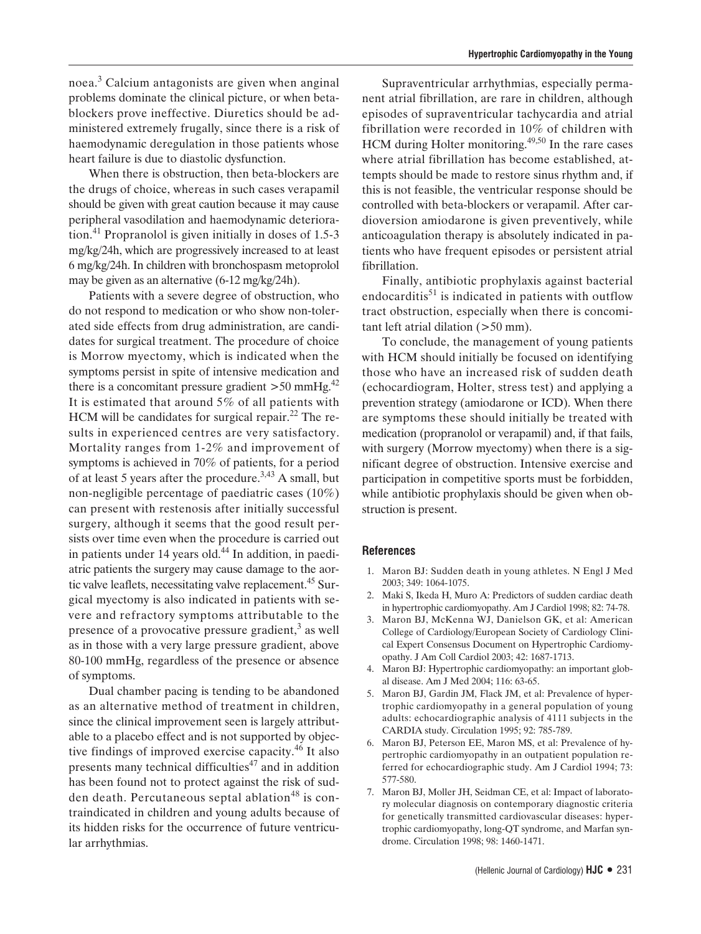noea.<sup>3</sup> Calcium antagonists are given when anginal problems dominate the clinical picture, or when betablockers prove ineffective. Diuretics should be administered extremely frugally, since there is a risk of haemodynamic deregulation in those patients whose heart failure is due to diastolic dysfunction.

When there is obstruction, then beta-blockers are the drugs of choice, whereas in such cases verapamil should be given with great caution because it may cause peripheral vasodilation and haemodynamic deterioration.<sup>41</sup> Propranolol is given initially in doses of 1.5-3 mg/kg/24h, which are progressively increased to at least 6 mg/kg/24h. In children with bronchospasm metoprolol may be given as an alternative (6-12 mg/kg/24h).

Patients with a severe degree of obstruction, who do not respond to medication or who show non-tolerated side effects from drug administration, are candidates for surgical treatment. The procedure of choice is Morrow myectomy, which is indicated when the symptoms persist in spite of intensive medication and there is a concomitant pressure gradient  $>50$  mmHg.<sup>42</sup> It is estimated that around 5% of all patients with HCM will be candidates for surgical repair. $^{22}$  The results in experienced centres are very satisfactory. Mortality ranges from 1-2% and improvement of symptoms is achieved in 70% of patients, for a period of at least 5 years after the procedure.3,43 A small, but non-negligible percentage of paediatric cases (10%) can present with restenosis after initially successful surgery, although it seems that the good result persists over time even when the procedure is carried out in patients under 14 years old. $44$  In addition, in paediatric patients the surgery may cause damage to the aortic valve leaflets, necessitating valve replacement.<sup>45</sup> Surgical myectomy is also indicated in patients with severe and refractory symptoms attributable to the presence of a provocative pressure gradient, $3$  as well as in those with a very large pressure gradient, above 80-100 mmHg, regardless of the presence or absence of symptoms.

Dual chamber pacing is tending to be abandoned as an alternative method of treatment in children, since the clinical improvement seen is largely attributable to a placebo effect and is not supported by objective findings of improved exercise capacity.<sup>46</sup> It also presents many technical difficulties $47$  and in addition has been found not to protect against the risk of sudden death. Percutaneous septal ablation<sup>48</sup> is contraindicated in children and young adults because of its hidden risks for the occurrence of future ventricular arrhythmias.

Supraventricular arrhythmias, especially permanent atrial fibrillation, are rare in children, although episodes of supraventricular tachycardia and atrial fibrillation were recorded in 10% of children with HCM during Holter monitoring.49,50 In the rare cases where atrial fibrillation has become established, attempts should be made to restore sinus rhythm and, if this is not feasible, the ventricular response should be controlled with beta-blockers or verapamil. After cardioversion amiodarone is given preventively, while anticoagulation therapy is absolutely indicated in patients who have frequent episodes or persistent atrial fibrillation.

Finally, antibiotic prophylaxis against bacterial endocarditis $51$  is indicated in patients with outflow tract obstruction, especially when there is concomitant left atrial dilation (>50 mm).

To conclude, the management of young patients with HCM should initially be focused on identifying those who have an increased risk of sudden death (echocardiogram, Holter, stress test) and applying a prevention strategy (amiodarone or ICD). When there are symptoms these should initially be treated with medication (propranolol or verapamil) and, if that fails, with surgery (Morrow myectomy) when there is a significant degree of obstruction. Intensive exercise and participation in competitive sports must be forbidden, while antibiotic prophylaxis should be given when obstruction is present.

## **References**

- 1. Maron BJ: Sudden death in young athletes. N Engl J Med 2003; 349: 1064-1075.
- 2. Maki S, Ikeda H, Muro A: Predictors of sudden cardiac death in hypertrophic cardiomyopathy. Am J Cardiol 1998; 82: 74-78.
- 3. Maron BJ, McKenna WJ, Danielson GK, et al: American College of Cardiology/European Society of Cardiology Clinical Expert Consensus Document on Hypertrophic Cardiomyopathy. J Am Coll Cardiol 2003; 42: 1687-1713.
- 4. Maron BJ: Hypertrophic cardiomyopathy: an important global disease. Am J Med 2004; 116: 63-65.
- 5. Maron BJ, Gardin JM, Flack JM, et al: Prevalence of hypertrophic cardiomyopathy in a general population of young adults: echocardiographic analysis of 4111 subjects in the CARDIA study. Circulation 1995; 92: 785-789.
- 6. Maron BJ, Peterson EE, Maron MS, et al: Prevalence of hypertrophic cardiomyopathy in an outpatient population referred for echocardiographic study. Am J Cardiol 1994; 73: 577-580.
- 7. Maron BJ, Moller JH, Seidman CE, et al: Impact of laboratory molecular diagnosis on contemporary diagnostic criteria for genetically transmitted cardiovascular diseases: hypertrophic cardiomyopathy, long-QT syndrome, and Marfan syndrome. Circulation 1998; 98: 1460-1471.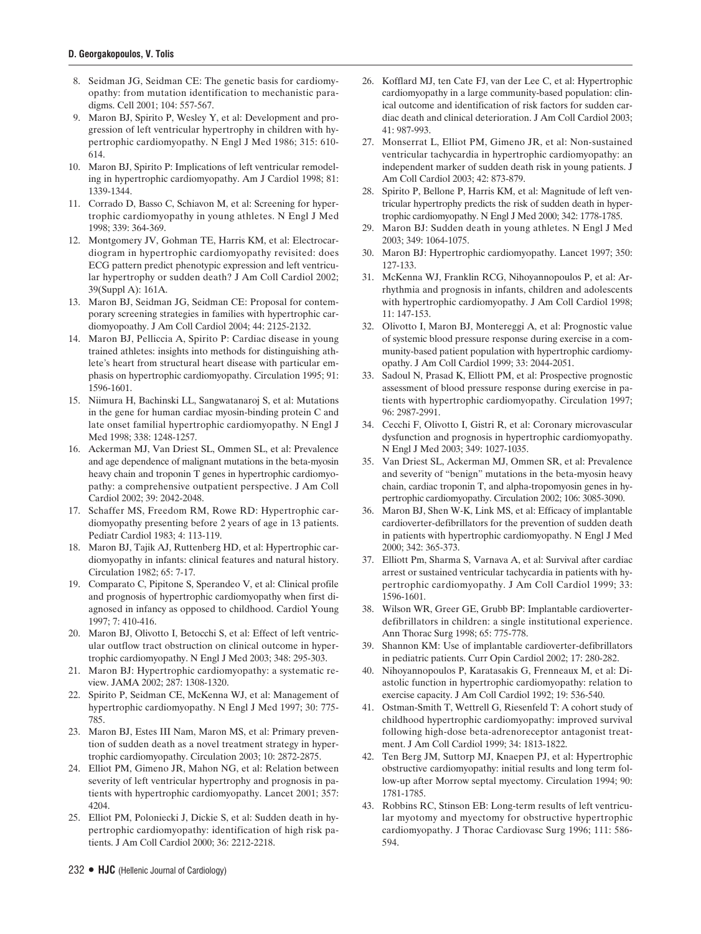- 8. Seidman JG, Seidman CE: The genetic basis for cardiomyopathy: from mutation identification to mechanistic paradigms. Cell 2001; 104: 557-567.
- 9. Maron BJ, Spirito P, Wesley Y, et al: Development and progression of left ventricular hypertrophy in children with hypertrophic cardiomyopathy. N Engl J Med 1986; 315: 610- 614.
- 10. Maron BJ, Spirito P: Implications of left ventricular remodeling in hypertrophic cardiomyopathy. Am J Cardiol 1998; 81: 1339-1344.
- 11. Corrado D, Basso C, Schiavon M, et al: Screening for hypertrophic cardiomyopathy in young athletes. N Engl J Med 1998; 339: 364-369.
- 12. Montgomery JV, Gohman TE, Harris KM, et al: Electrocardiogram in hypertrophic cardiomyopathy revisited: does ECG pattern predict phenotypic expression and left ventricular hypertrophy or sudden death? J Am Coll Cardiol 2002; 39(Suppl A): 161A.
- 13. Maron BJ, Seidman JG, Seidman CE: Proposal for contemporary screening strategies in families with hypertrophic cardiomyopoathy. J Am Coll Cardiol 2004; 44: 2125-2132.
- 14. Maron BJ, Pelliccia A, Spirito P: Cardiac disease in young trained athletes: insights into methods for distinguishing athlete's heart from structural heart disease with particular emphasis on hypertrophic cardiomyopathy. Circulation 1995; 91: 1596-1601.
- 15. Niimura H, Bachinski LL, Sangwatanaroj S, et al: Mutations in the gene for human cardiac myosin-binding protein C and late onset familial hypertrophic cardiomyopathy. N Engl J Med 1998; 338: 1248-1257.
- 16. Ackerman MJ, Van Driest SL, Ommen SL, et al: Prevalence and age dependence of malignant mutations in the beta-myosin heavy chain and troponin T genes in hypertrophic cardiomyopathy: a comprehensive outpatient perspective. J Am Coll Cardiol 2002; 39: 2042-2048.
- 17. Schaffer MS, Freedom RM, Rowe RD: Hypertrophic cardiomyopathy presenting before 2 years of age in 13 patients. Pediatr Cardiol 1983; 4: 113-119.
- 18. Maron BJ, Tajik AJ, Ruttenberg HD, et al: Hypertrophic cardiomyopathy in infants: clinical features and natural history. Circulation 1982; 65: 7-17.
- 19. Comparato C, Pipitone S, Sperandeo V, et al: Clinical profile and prognosis of hypertrophic cardiomyopathy when first diagnosed in infancy as opposed to childhood. Cardiol Young 1997; 7: 410-416.
- 20. Maron BJ, Olivotto I, Betocchi S, et al: Effect of left ventricular outflow tract obstruction on clinical outcome in hypertrophic cardiomyopathy. N Engl J Med 2003; 348: 295-303.
- 21. Maron BJ: Hypertrophic cardiomyopathy: a systematic review. JAMA 2002; 287: 1308-1320.
- 22. Spirito P, Seidman CE, McKenna WJ, et al: Management of hypertrophic cardiomyopathy. N Engl J Med 1997; 30: 775- 785.
- 23. Maron BJ, Estes III Nam, Maron MS, et al: Primary prevention of sudden death as a novel treatment strategy in hypertrophic cardiomyopathy. Circulation 2003; 10: 2872-2875.
- 24. Elliot PM, Gimeno JR, Mahon NG, et al: Relation between severity of left ventricular hypertrophy and prognosis in patients with hypertrophic cardiomyopathy. Lancet 2001; 357: 4204.
- 25. Elliot PM, Poloniecki J, Dickie S, et al: Sudden death in hypertrophic cardiomyopathy: identification of high risk patients. J Am Coll Cardiol 2000; 36: 2212-2218.
- 26. Kofflard MJ, ten Cate FJ, van der Lee C, et al: Hypertrophic cardiomyopathy in a large community-based population: clinical outcome and identification of risk factors for sudden cardiac death and clinical deterioration. J Am Coll Cardiol 2003; 41: 987-993.
- 27. Monserrat L, Elliot PM, Gimeno JR, et al: Non-sustained ventricular tachycardia in hypertrophic cardiomyopathy: an independent marker of sudden death risk in young patients. J Am Coll Cardiol 2003; 42: 873-879.
- 28. Spirito P, Bellone P, Harris KM, et al: Magnitude of left ventricular hypertrophy predicts the risk of sudden death in hypertrophic cardiomyopathy. N Engl J Med 2000; 342: 1778-1785.
- 29. Maron BJ: Sudden death in young athletes. N Engl J Med 2003; 349: 1064-1075.
- 30. Maron BJ: Hypertrophic cardiomyopathy. Lancet 1997; 350: 127-133.
- 31. McKenna WJ, Franklin RCG, Nihoyannopoulos P, et al: Arrhythmia and prognosis in infants, children and adolescents with hypertrophic cardiomyopathy. J Am Coll Cardiol 1998; 11: 147-153.
- 32. Olivotto I, Maron BJ, Montereggi A, et al: Prognostic value of systemic blood pressure response during exercise in a community-based patient population with hypertrophic cardiomyopathy. J Am Coll Cardiol 1999; 33: 2044-2051.
- 33. Sadoul N, Prasad K, Elliott PM, et al: Prospective prognostic assessment of blood pressure response during exercise in patients with hypertrophic cardiomyopathy. Circulation 1997; 96: 2987-2991.
- 34. Cecchi F, Olivotto I, Gistri R, et al: Coronary microvascular dysfunction and prognosis in hypertrophic cardiomyopathy. N Engl J Med 2003; 349: 1027-1035.
- 35. Van Driest SL, Ackerman MJ, Ommen SR, et al: Prevalence and severity of "benign" mutations in the beta-myosin heavy chain, cardiac troponin T, and alpha-tropomyosin genes in hypertrophic cardiomyopathy. Circulation 2002; 106: 3085-3090.
- 36. Maron BJ, Shen W-K, Link MS, et al: Efficacy of implantable cardioverter-defibrillators for the prevention of sudden death in patients with hypertrophic cardiomyopathy. N Engl J Med 2000; 342: 365-373.
- 37. Elliott Pm, Sharma S, Varnava A, et al: Survival after cardiac arrest or sustained ventricular tachycardia in patients with hypertrophic cardiomyopathy. J Am Coll Cardiol 1999; 33: 1596-1601.
- 38. Wilson WR, Greer GE, Grubb BP: Implantable cardioverterdefibrillators in children: a single institutional experience. Ann Thorac Surg 1998; 65: 775-778.
- 39. Shannon KM: Use of implantable cardioverter-defibrillators in pediatric patients. Curr Opin Cardiol 2002; 17: 280-282.
- 40. Nihoyannopoulos P, Karatasakis G, Frenneaux M, et al: Diastolic function in hypertrophic cardiomyopathy: relation to exercise capacity. J Am Coll Cardiol 1992; 19: 536-540.
- 41. Ostman-Smith T, Wettrell G, Riesenfeld T: A cohort study of childhood hypertrophic cardiomyopathy: improved survival following high-dose beta-adrenoreceptor antagonist treatment. J Am Coll Cardiol 1999; 34: 1813-1822.
- 42. Ten Berg JM, Suttorp MJ, Knaepen PJ, et al: Hypertrophic obstructive cardiomyopathy: initial results and long term follow-up after Morrow septal myectomy. Circulation 1994; 90: 1781-1785.
- 43. Robbins RC, Stinson EB: Long-term results of left ventricular myotomy and myectomy for obstructive hypertrophic cardiomyopathy. J Thorac Cardiovasc Surg 1996; 111: 586- 594.